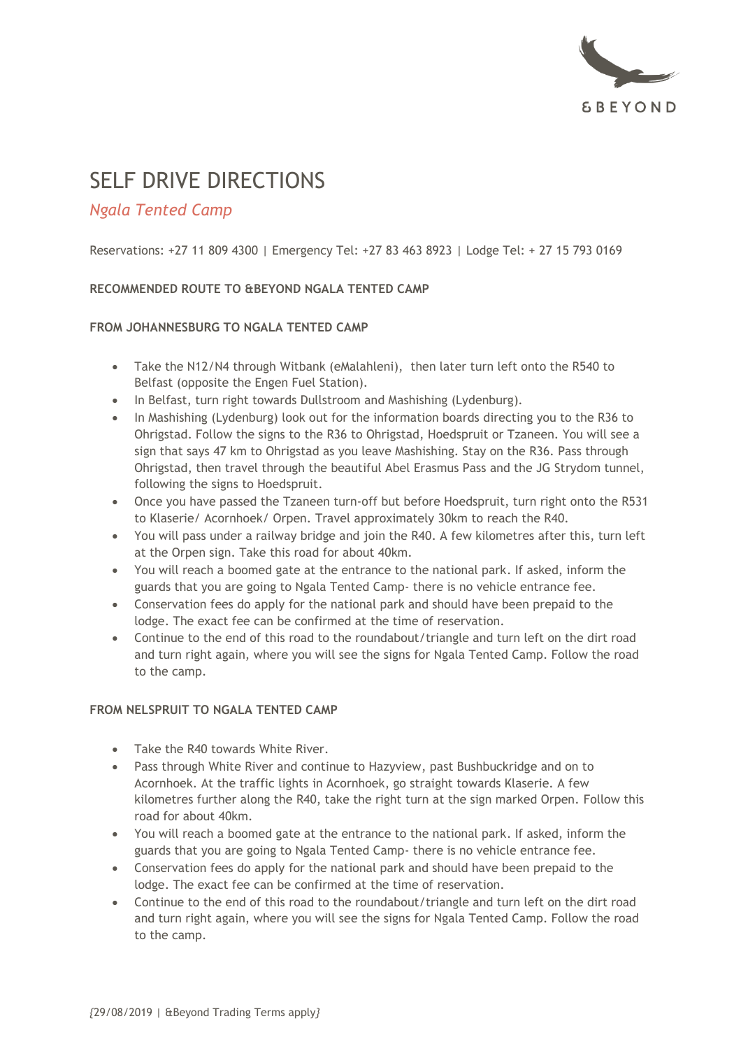

# SELF DRIVE DIRECTIONS

# *Ngala Tented Camp*

Reservations: +27 11 809 4300 | Emergency Tel: +27 83 463 8923 | Lodge Tel: + 27 15 793 0169

## **RECOMMENDED ROUTE TO &BEYOND NGALA TENTED CAMP**

## **FROM JOHANNESBURG TO NGALA TENTED CAMP**

- Take the N12/N4 through Witbank (eMalahleni), then later turn left onto the R540 to Belfast (opposite the Engen Fuel Station).
- In Belfast, turn right towards Dullstroom and Mashishing (Lydenburg).
- In Mashishing (Lydenburg) look out for the information boards directing you to the R36 to Ohrigstad. Follow the signs to the R36 to Ohrigstad, Hoedspruit or Tzaneen. You will see a sign that says 47 km to Ohrigstad as you leave Mashishing. Stay on the R36. Pass through Ohrigstad, then travel through the beautiful Abel Erasmus Pass and the JG Strydom tunnel, following the signs to Hoedspruit.
- Once you have passed the Tzaneen turn-off but before Hoedspruit, turn right onto the R531 to Klaserie/ Acornhoek/ Orpen. Travel approximately 30km to reach the R40.
- You will pass under a railway bridge and join the R40. A few kilometres after this, turn left at the Orpen sign. Take this road for about 40km.
- You will reach a boomed gate at the entrance to the national park. If asked, inform the guards that you are going to Ngala Tented Camp- there is no vehicle entrance fee.
- Conservation fees do apply for the national park and should have been prepaid to the lodge. The exact fee can be confirmed at the time of reservation.
- Continue to the end of this road to the roundabout/triangle and turn left on the dirt road and turn right again, where you will see the signs for Ngala Tented Camp. Follow the road to the camp.

#### **FROM NELSPRUIT TO NGALA TENTED CAMP**

- Take the R40 towards White River.
- Pass through White River and continue to Hazyview, past Bushbuckridge and on to Acornhoek. At the traffic lights in Acornhoek, go straight towards Klaserie. A few kilometres further along the R40, take the right turn at the sign marked Orpen. Follow this road for about 40km.
- You will reach a boomed gate at the entrance to the national park. If asked, inform the guards that you are going to Ngala Tented Camp- there is no vehicle entrance fee.
- Conservation fees do apply for the national park and should have been prepaid to the lodge. The exact fee can be confirmed at the time of reservation.
- Continue to the end of this road to the roundabout/triangle and turn left on the dirt road and turn right again, where you will see the signs for Ngala Tented Camp. Follow the road to the camp.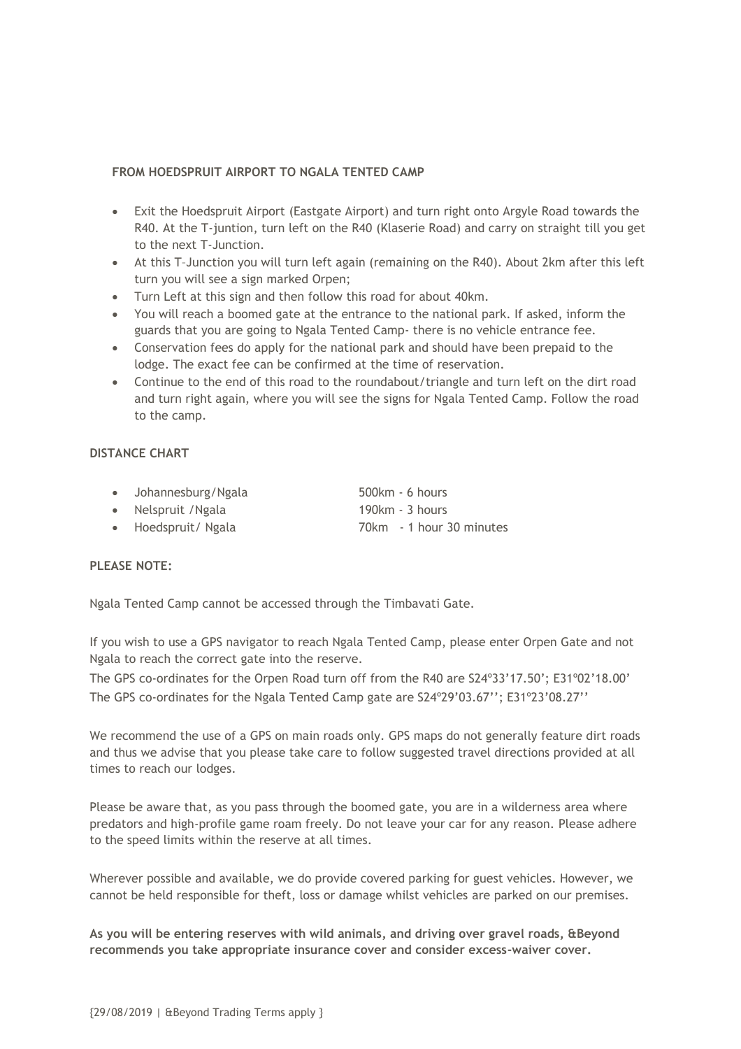#### **FROM HOEDSPRUIT AIRPORT TO NGALA TENTED CAMP**

- Exit the Hoedspruit Airport (Eastgate Airport) and turn right onto Argyle Road towards the R40. At the T-juntion, turn left on the R40 (Klaserie Road) and carry on straight till you get to the next T-Junction.
- At this T–Junction you will turn left again (remaining on the R40). About 2km after this left turn you will see a sign marked Orpen;
- Turn Left at this sign and then follow this road for about 40km.
- You will reach a boomed gate at the entrance to the national park. If asked, inform the guards that you are going to Ngala Tented Camp- there is no vehicle entrance fee.
- Conservation fees do apply for the national park and should have been prepaid to the lodge. The exact fee can be confirmed at the time of reservation.
- Continue to the end of this road to the roundabout/triangle and turn left on the dirt road and turn right again, where you will see the signs for Ngala Tented Camp. Follow the road to the camp.

#### **DISTANCE CHART**

- Johannesburg/Ngala 500km 6 hours
- Nelspruit / Ngala 190km 3 hours
- Hoedspruit/ Ngala 70km 1 hour 30 minutes

#### **PLEASE NOTE:**

Ngala Tented Camp cannot be accessed through the Timbavati Gate.

If you wish to use a GPS navigator to reach Ngala Tented Camp, please enter Orpen Gate and not Ngala to reach the correct gate into the reserve.

The GPS co-ordinates for the Orpen Road turn off from the R40 are S24º33'17.50'; E31º02'18.00' The GPS co-ordinates for the Ngala Tented Camp gate are S24º29'03.67''; E31º23'08.27''

We recommend the use of a GPS on main roads only. GPS maps do not generally feature dirt roads and thus we advise that you please take care to follow suggested travel directions provided at all times to reach our lodges.

Please be aware that, as you pass through the boomed gate, you are in a wilderness area where predators and high-profile game roam freely. Do not leave your car for any reason. Please adhere to the speed limits within the reserve at all times.

Wherever possible and available, we do provide covered parking for guest vehicles. However, we cannot be held responsible for theft, loss or damage whilst vehicles are parked on our premises.

**As you will be entering reserves with wild animals, and driving over gravel roads, &Beyond recommends you take appropriate insurance cover and consider excess-waiver cover.**